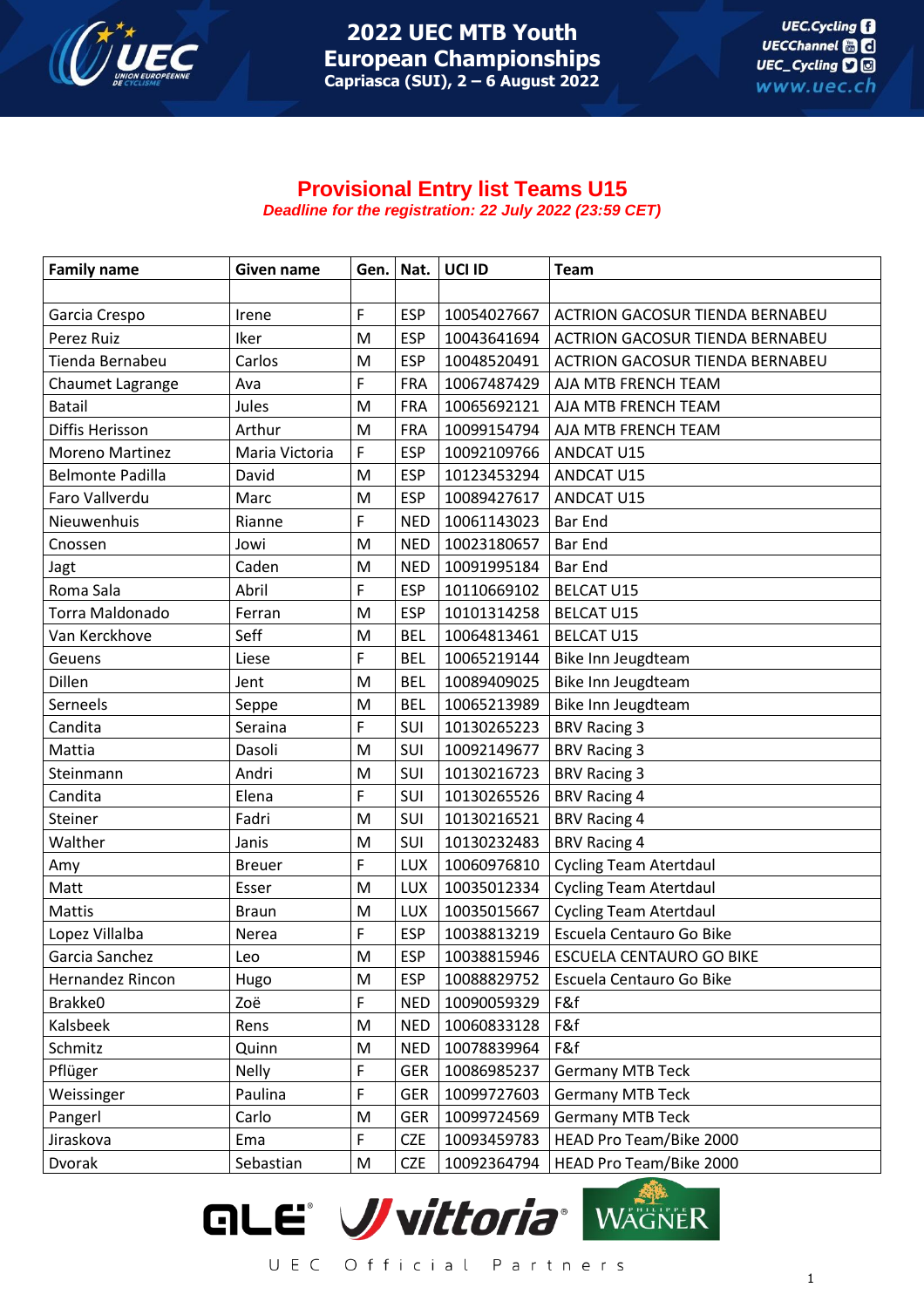

## **Provisional Entry list Teams U15** *Deadline for the registration: 22 July 2022 (23:59 CET)*

| <b>Family name</b>      | Given name     | Gen. | Nat.       | UCI ID      | <b>Team</b>                            |
|-------------------------|----------------|------|------------|-------------|----------------------------------------|
|                         |                |      |            |             |                                        |
| Garcia Crespo           | Irene          | F    | <b>ESP</b> | 10054027667 | <b>ACTRION GACOSUR TIENDA BERNABEU</b> |
| Perez Ruiz              | Iker           | M    | <b>ESP</b> | 10043641694 | <b>ACTRION GACOSUR TIENDA BERNABEU</b> |
| Tienda Bernabeu         | Carlos         | M    | <b>ESP</b> | 10048520491 | <b>ACTRION GACOSUR TIENDA BERNABEU</b> |
| Chaumet Lagrange        | Ava            | F    | <b>FRA</b> | 10067487429 | AJA MTB FRENCH TEAM                    |
| <b>Batail</b>           | Jules          | M    | <b>FRA</b> | 10065692121 | AJA MTB FRENCH TEAM                    |
| Diffis Herisson         | Arthur         | M    | <b>FRA</b> | 10099154794 | AJA MTB FRENCH TEAM                    |
| <b>Moreno Martinez</b>  | Maria Victoria | F    | <b>ESP</b> | 10092109766 | ANDCAT U15                             |
| <b>Belmonte Padilla</b> | David          | M    | <b>ESP</b> | 10123453294 | ANDCAT U15                             |
| Faro Vallverdu          | Marc           | M    | <b>ESP</b> | 10089427617 | ANDCAT U15                             |
| Nieuwenhuis             | Rianne         | F    | <b>NED</b> | 10061143023 | <b>Bar End</b>                         |
| Cnossen                 | Jowi           | M    | <b>NED</b> | 10023180657 | <b>Bar End</b>                         |
| Jagt                    | Caden          | M    | <b>NED</b> | 10091995184 | <b>Bar End</b>                         |
| Roma Sala               | Abril          | F    | <b>ESP</b> | 10110669102 | <b>BELCAT U15</b>                      |
| Torra Maldonado         | Ferran         | M    | <b>ESP</b> | 10101314258 | <b>BELCAT U15</b>                      |
| Van Kerckhove           | Seff           | M    | <b>BEL</b> | 10064813461 | <b>BELCAT U15</b>                      |
| Geuens                  | Liese          | F    | <b>BEL</b> | 10065219144 | Bike Inn Jeugdteam                     |
| Dillen                  | Jent           | M    | <b>BEL</b> | 10089409025 | Bike Inn Jeugdteam                     |
| Serneels                | Seppe          | M    | <b>BEL</b> | 10065213989 | Bike Inn Jeugdteam                     |
| Candita                 | Seraina        | F    | SUI        | 10130265223 | <b>BRV Racing 3</b>                    |
| Mattia                  | Dasoli         | M    | SUI        | 10092149677 | <b>BRV Racing 3</b>                    |
| Steinmann               | Andri          | M    | SUI        | 10130216723 | <b>BRV Racing 3</b>                    |
| Candita                 | Elena          | F    | SUI        | 10130265526 | <b>BRV Racing 4</b>                    |
| Steiner                 | Fadri          | M    | SUI        | 10130216521 | <b>BRV Racing 4</b>                    |
| Walther                 | Janis          | M    | SUI        | 10130232483 | <b>BRV Racing 4</b>                    |
| Amy                     | <b>Breuer</b>  | F    | LUX        | 10060976810 | <b>Cycling Team Atertdaul</b>          |
| Matt                    | Esser          | M    | LUX        | 10035012334 | <b>Cycling Team Atertdaul</b>          |
| Mattis                  | <b>Braun</b>   | M    | LUX        | 10035015667 | <b>Cycling Team Atertdaul</b>          |
| Lopez Villalba          | Nerea          | F    | <b>ESP</b> | 10038813219 | Escuela Centauro Go Bike               |
| Garcia Sanchez          | Leo            | M    | <b>ESP</b> | 10038815946 | <b>ESCUELA CENTAURO GO BIKE</b>        |
| Hernandez Rincon        | Hugo           | M    | <b>ESP</b> | 10088829752 | Escuela Centauro Go Bike               |
| Brakke0                 | Zoë            | F    | <b>NED</b> | 10090059329 | F&f                                    |
| Kalsbeek                | Rens           | M    | <b>NED</b> | 10060833128 | F&f                                    |
| Schmitz                 | Quinn          | M    | <b>NED</b> | 10078839964 | F&f                                    |
| Pflüger                 | <b>Nelly</b>   | F    | <b>GER</b> | 10086985237 | <b>Germany MTB Teck</b>                |
| Weissinger              | Paulina        | F    | <b>GER</b> | 10099727603 | <b>Germany MTB Teck</b>                |
| Pangerl                 | Carlo          | M    | <b>GER</b> | 10099724569 | <b>Germany MTB Teck</b>                |
| Jiraskova               | Ema            | F    | <b>CZE</b> | 10093459783 | HEAD Pro Team/Bike 2000                |
| Dvorak                  | Sebastian      | M    | <b>CZE</b> | 10092364794 | HEAD Pro Team/Bike 2000                |

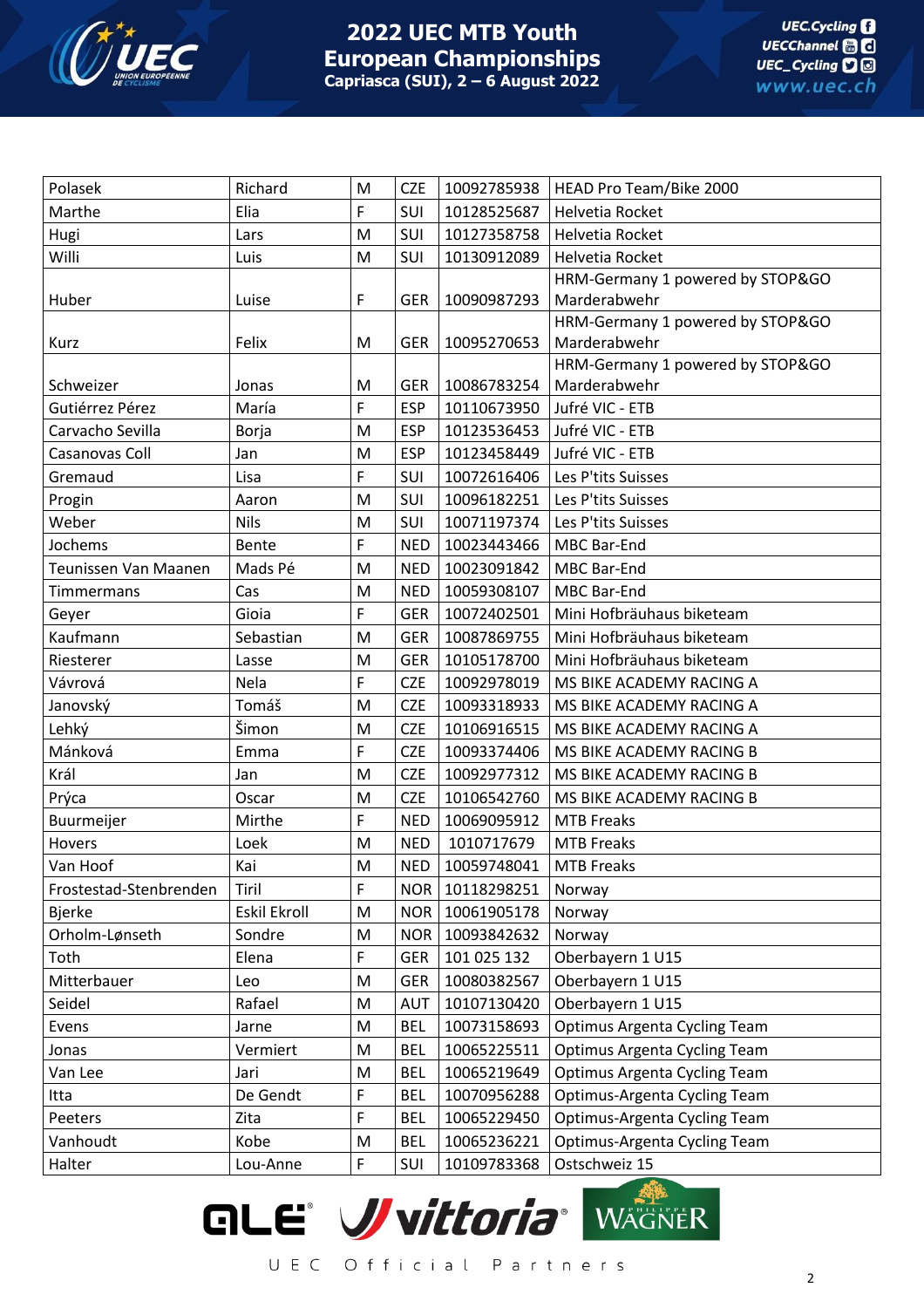

| F<br>Marthe<br>Elia<br>SUI<br>10128525687<br>Helvetia Rocket<br>M<br>SUI<br>10127358758<br>Helvetia Rocket<br>Hugi<br>Lars<br>Willi<br>SUI<br>M<br>10130912089<br>Helvetia Rocket<br>Luis<br>HRM-Germany 1 powered by STOP&GO<br>Marderabwehr<br>F<br>Huber<br><b>GER</b><br>10090987293<br>Luise<br>HRM-Germany 1 powered by STOP&GO |
|---------------------------------------------------------------------------------------------------------------------------------------------------------------------------------------------------------------------------------------------------------------------------------------------------------------------------------------|
|                                                                                                                                                                                                                                                                                                                                       |
|                                                                                                                                                                                                                                                                                                                                       |
|                                                                                                                                                                                                                                                                                                                                       |
|                                                                                                                                                                                                                                                                                                                                       |
|                                                                                                                                                                                                                                                                                                                                       |
|                                                                                                                                                                                                                                                                                                                                       |
| Marderabwehr<br>Felix<br>10095270653<br>M<br><b>GER</b><br>Kurz                                                                                                                                                                                                                                                                       |
| HRM-Germany 1 powered by STOP&GO                                                                                                                                                                                                                                                                                                      |
| Marderabwehr<br>10086783254<br>Schweizer<br><b>GER</b><br>Jonas<br>M                                                                                                                                                                                                                                                                  |
| F<br><b>ESP</b><br>Gutiérrez Pérez<br>María<br>10110673950<br>Jufré VIC - ETB                                                                                                                                                                                                                                                         |
| Carvacho Sevilla<br>M<br><b>ESP</b><br>10123536453<br>Jufré VIC - ETB<br>Borja                                                                                                                                                                                                                                                        |
| Casanovas Coll<br><b>ESP</b><br>10123458449<br>Jufré VIC - ETB<br>Jan<br>M                                                                                                                                                                                                                                                            |
| F<br>Gremaud<br>SUI<br>10072616406<br>Les P'tits Suisses<br>Lisa                                                                                                                                                                                                                                                                      |
| SUI<br>M<br>10096182251<br>Les P'tits Suisses<br>Progin<br>Aaron                                                                                                                                                                                                                                                                      |
| Weber<br><b>Nils</b><br>M<br>SUI<br>10071197374<br>Les P'tits Suisses                                                                                                                                                                                                                                                                 |
| Jochems<br>F<br><b>NED</b><br>10023443466<br>Bente<br><b>MBC Bar-End</b>                                                                                                                                                                                                                                                              |
| Teunissen Van Maanen<br>M<br>10023091842<br>Mads Pé<br><b>NED</b><br>MBC Bar-End                                                                                                                                                                                                                                                      |
| <b>NED</b><br>10059308107<br><b>MBC Bar-End</b><br>Cas<br>M<br><b>Timmermans</b>                                                                                                                                                                                                                                                      |
| F<br>Gioia<br><b>GER</b><br>10072402501<br>Mini Hofbräuhaus biketeam<br>Geyer                                                                                                                                                                                                                                                         |
| Kaufmann<br>Sebastian<br><b>GER</b><br>10087869755<br>M<br>Mini Hofbräuhaus biketeam                                                                                                                                                                                                                                                  |
| Riesterer<br>M<br><b>GER</b><br>10105178700<br>Mini Hofbräuhaus biketeam<br>Lasse                                                                                                                                                                                                                                                     |
| Vávrová<br>F<br>Nela<br><b>CZE</b><br>10092978019<br>MS BIKE ACADEMY RACING A                                                                                                                                                                                                                                                         |
| Tomáš<br>M<br><b>CZE</b><br>10093318933<br>Janovský<br>MS BIKE ACADEMY RACING A                                                                                                                                                                                                                                                       |
| Šimon<br>Lehký<br>M<br><b>CZE</b><br>10106916515<br>MS BIKE ACADEMY RACING A                                                                                                                                                                                                                                                          |
| Mánková<br>F<br><b>CZE</b><br>10093374406<br>MS BIKE ACADEMY RACING B<br>Emma                                                                                                                                                                                                                                                         |
| Král<br>M<br><b>CZE</b><br>10092977312<br>Jan<br>MS BIKE ACADEMY RACING B                                                                                                                                                                                                                                                             |
| Prýca<br><b>CZE</b><br>M<br>10106542760<br>MS BIKE ACADEMY RACING B<br>Oscar                                                                                                                                                                                                                                                          |
| F<br>Buurmeijer<br><b>NED</b><br>10069095912<br><b>MTB Freaks</b><br>Mirthe                                                                                                                                                                                                                                                           |
| Hovers<br><b>NED</b><br>1010717679<br>Loek<br>M<br><b>MTB Freaks</b>                                                                                                                                                                                                                                                                  |
| M<br>Kai<br><b>NED</b><br>10059748041<br>Van Hoof<br><b>MTB Freaks</b>                                                                                                                                                                                                                                                                |
| F<br>Frostestad-Stenbrenden<br>NOR  <br>10118298251<br>Tiril<br>Norway                                                                                                                                                                                                                                                                |
| Eskil Ekroll<br><b>NOR</b><br>10061905178<br><b>Bjerke</b><br>M<br>Norway                                                                                                                                                                                                                                                             |
| 10093842632<br>Orholm-Lønseth<br>Sondre<br><b>NOR</b><br>M<br>Norway                                                                                                                                                                                                                                                                  |
| F<br>Toth<br>101 025 132<br>Oberbayern 1 U15<br>Elena<br><b>GER</b>                                                                                                                                                                                                                                                                   |
| Mitterbauer<br>M<br><b>GER</b><br>10080382567<br>Oberbayern 1 U15<br>Leo                                                                                                                                                                                                                                                              |
| Rafael<br>Oberbayern 1 U15<br>Seidel<br>10107130420<br>M<br><b>AUT</b>                                                                                                                                                                                                                                                                |
| 10073158693<br>Optimus Argenta Cycling Team<br>Evens<br>M<br><b>BEL</b><br>Jarne                                                                                                                                                                                                                                                      |
| 10065225511<br>Optimus Argenta Cycling Team<br>Vermiert<br>M<br><b>BEL</b><br>Jonas                                                                                                                                                                                                                                                   |
| Optimus Argenta Cycling Team<br>Van Lee<br>M<br><b>BEL</b><br>10065219649<br>Jari                                                                                                                                                                                                                                                     |
| De Gendt<br>F<br><b>BEL</b><br>10070956288<br>Optimus-Argenta Cycling Team<br>Itta                                                                                                                                                                                                                                                    |
| F<br><b>BEL</b><br>10065229450<br>Optimus-Argenta Cycling Team<br>Peeters<br>Zita                                                                                                                                                                                                                                                     |
| Vanhoudt<br>Kobe<br><b>BEL</b><br>10065236221<br>Optimus-Argenta Cycling Team<br>M                                                                                                                                                                                                                                                    |
| F<br>Ostschweiz 15<br>Halter<br>Lou-Anne<br>SUI<br>10109783368                                                                                                                                                                                                                                                                        |

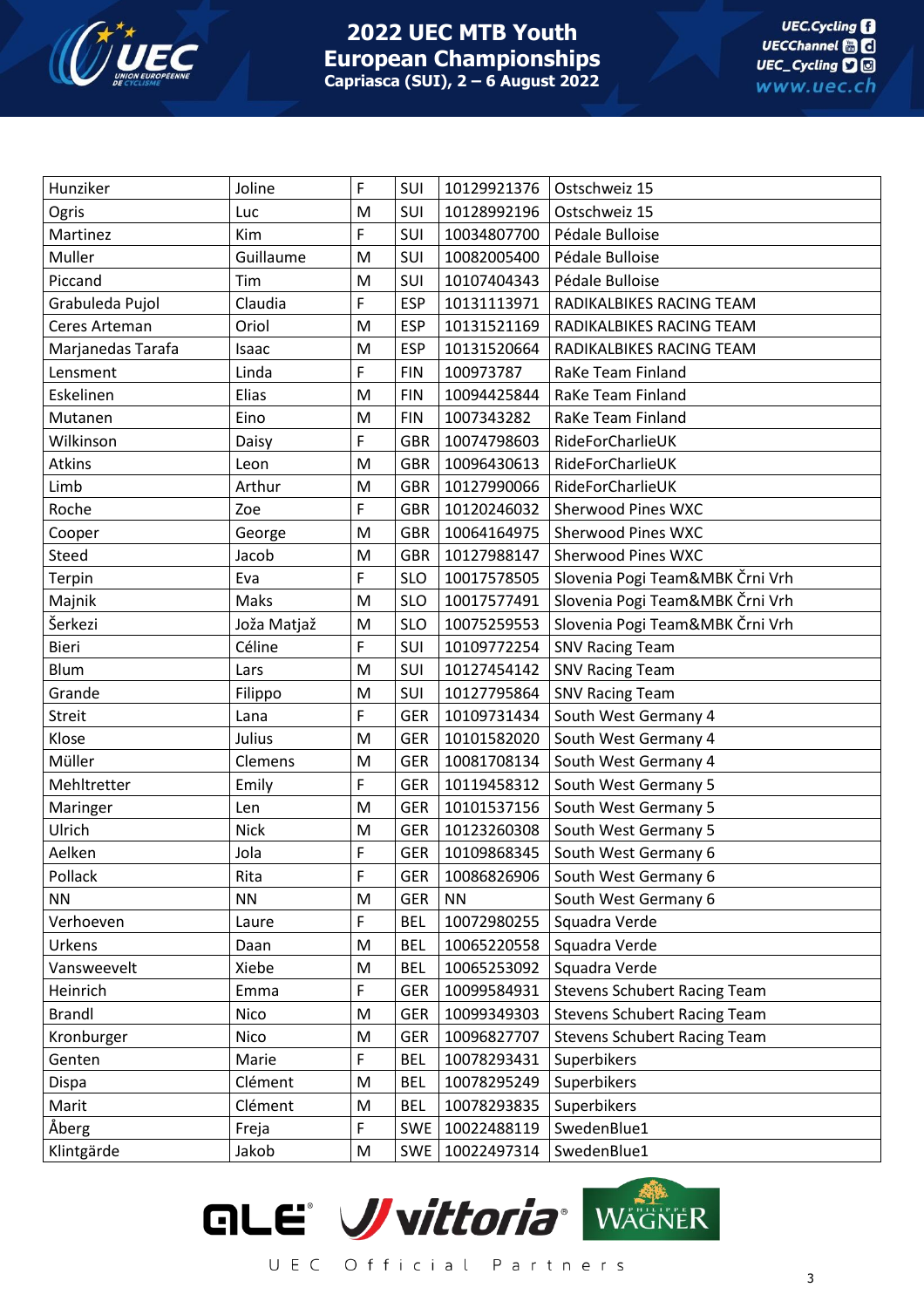

## **2022 UEC MTB Youth European Championships Capriasca (SUI), 2 – 6 August 2022**

| Hunziker          | Joline      | F | SUI        | 10129921376 | Ostschweiz 15                       |
|-------------------|-------------|---|------------|-------------|-------------------------------------|
| Ogris             | Luc         | M | SUI        | 10128992196 | Ostschweiz 15                       |
| Martinez          | Kim         | F | SUI        | 10034807700 | Pédale Bulloise                     |
| Muller            | Guillaume   | M | SUI        | 10082005400 | Pédale Bulloise                     |
| Piccand           | Tim         | M | SUI        | 10107404343 | Pédale Bulloise                     |
| Grabuleda Pujol   | Claudia     | F | <b>ESP</b> | 10131113971 | RADIKALBIKES RACING TEAM            |
| Ceres Arteman     | Oriol       | M | <b>ESP</b> | 10131521169 | RADIKALBIKES RACING TEAM            |
| Marjanedas Tarafa | Isaac       | M | <b>ESP</b> | 10131520664 | RADIKALBIKES RACING TEAM            |
| Lensment          | Linda       | F | <b>FIN</b> | 100973787   | RaKe Team Finland                   |
| Eskelinen         | Elias       | M | <b>FIN</b> | 10094425844 | RaKe Team Finland                   |
| Mutanen           | Eino        | M | <b>FIN</b> | 1007343282  | RaKe Team Finland                   |
| Wilkinson         | Daisy       | F | <b>GBR</b> | 10074798603 | RideForCharlieUK                    |
| Atkins            | Leon        | M | <b>GBR</b> | 10096430613 | RideForCharlieUK                    |
| Limb              | Arthur      | M | <b>GBR</b> | 10127990066 | RideForCharlieUK                    |
| Roche             | Zoe         | F | <b>GBR</b> | 10120246032 | <b>Sherwood Pines WXC</b>           |
| Cooper            | George      | M | <b>GBR</b> | 10064164975 | <b>Sherwood Pines WXC</b>           |
| Steed             | Jacob       | M | <b>GBR</b> | 10127988147 | <b>Sherwood Pines WXC</b>           |
| Terpin            | Eva         | F | <b>SLO</b> | 10017578505 | Slovenia Pogi Team&MBK Črni Vrh     |
| Majnik            | Maks        | M | <b>SLO</b> | 10017577491 | Slovenia Pogi Team&MBK Črni Vrh     |
| Šerkezi           | Joža Matjaž | M | <b>SLO</b> | 10075259553 | Slovenia Pogi Team&MBK Črni Vrh     |
| Bieri             | Céline      | F | SUI        | 10109772254 | <b>SNV Racing Team</b>              |
| Blum              | Lars        | M | SUI        | 10127454142 | <b>SNV Racing Team</b>              |
| Grande            | Filippo     | M | SUI        | 10127795864 | <b>SNV Racing Team</b>              |
| <b>Streit</b>     | Lana        | F | <b>GER</b> | 10109731434 | South West Germany 4                |
| Klose             | Julius      | M | <b>GER</b> | 10101582020 | South West Germany 4                |
| Müller            | Clemens     | M | <b>GER</b> | 10081708134 | South West Germany 4                |
| Mehltretter       | Emily       | F | <b>GER</b> | 10119458312 | South West Germany 5                |
| Maringer          | Len         | M | <b>GER</b> | 10101537156 | South West Germany 5                |
| Ulrich            | <b>Nick</b> | M | <b>GER</b> | 10123260308 | South West Germany 5                |
| Aelken            | Jola        | F | <b>GER</b> | 10109868345 | South West Germany 6                |
| Pollack           | Rita        | F | <b>GER</b> | 10086826906 | South West Germany 6                |
| <b>NN</b>         | <b>NN</b>   | M | <b>GER</b> | <b>NN</b>   | South West Germany 6                |
| Verhoeven         | Laure       | F | <b>BEL</b> | 10072980255 | Squadra Verde                       |
| Urkens            | Daan        | M | <b>BEL</b> | 10065220558 | Squadra Verde                       |
| Vansweevelt       | Xiebe       | M | <b>BEL</b> | 10065253092 | Squadra Verde                       |
| Heinrich          | Emma        | F | <b>GER</b> | 10099584931 | <b>Stevens Schubert Racing Team</b> |
| <b>Brandl</b>     | Nico        | M | <b>GER</b> | 10099349303 | <b>Stevens Schubert Racing Team</b> |
| Kronburger        | Nico        | M | <b>GER</b> | 10096827707 | <b>Stevens Schubert Racing Team</b> |
| Genten            | Marie       | F | <b>BEL</b> | 10078293431 | Superbikers                         |
| Dispa             | Clément     | M | <b>BEL</b> | 10078295249 | Superbikers                         |
| Marit             | Clément     | M | <b>BEL</b> | 10078293835 | Superbikers                         |
| Åberg             | Freja       | F | <b>SWE</b> | 10022488119 | SwedenBlue1                         |
| Klintgärde        | Jakob       | M | <b>SWE</b> | 10022497314 | SwedenBlue1                         |
|                   |             |   |            |             |                                     |

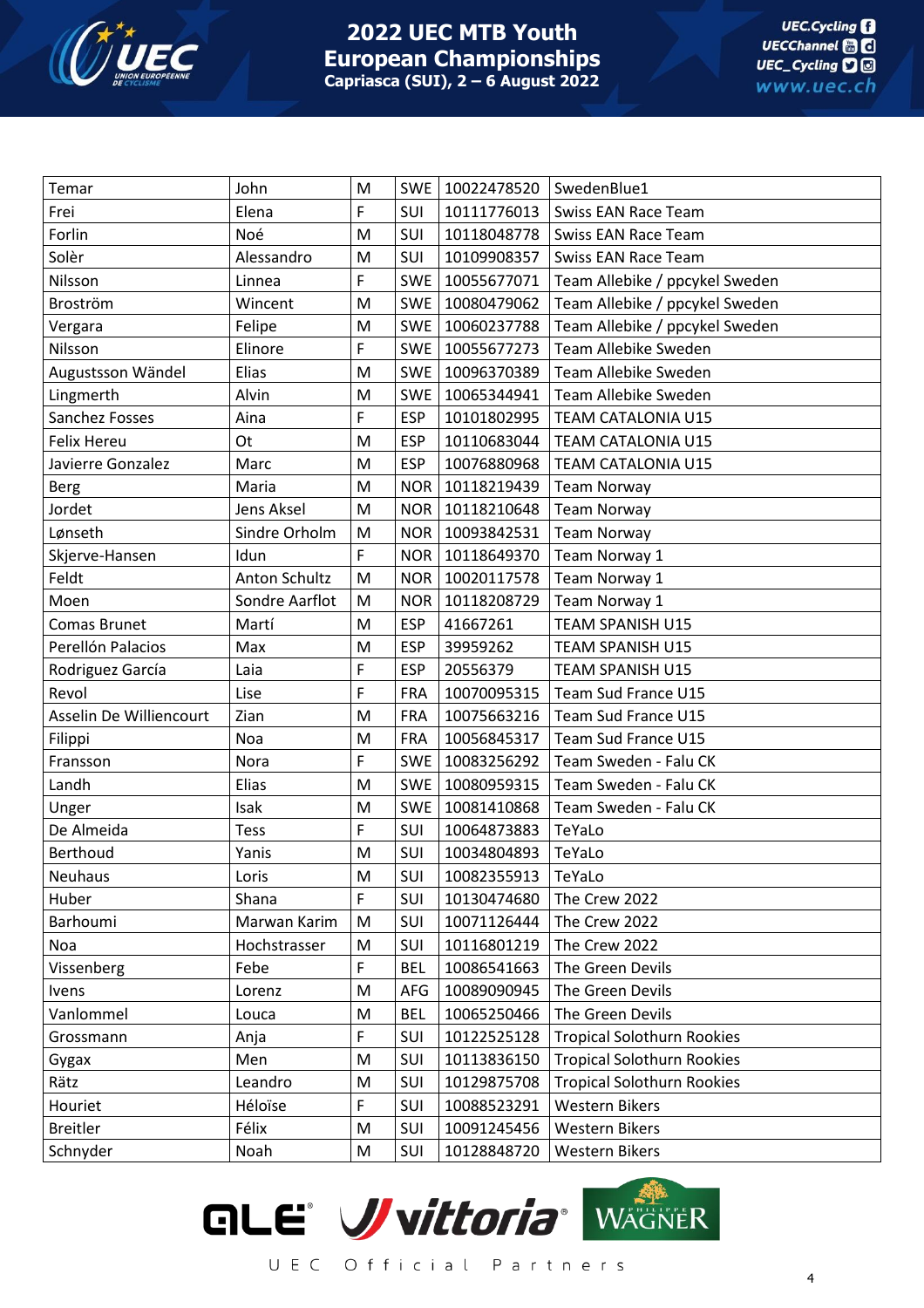

## **2022 UEC MTB Youth European Championships Capriasca (SUI), 2 – 6 August 2022**

| Temar                   | John           | M | <b>SWE</b> | 10022478520 | SwedenBlue1                       |
|-------------------------|----------------|---|------------|-------------|-----------------------------------|
| Frei                    | Elena          | F | SUI        | 10111776013 | <b>Swiss EAN Race Team</b>        |
| Forlin                  | Noé            | M | SUI        | 10118048778 | <b>Swiss EAN Race Team</b>        |
| Solèr                   | Alessandro     | M | SUI        | 10109908357 | <b>Swiss EAN Race Team</b>        |
| Nilsson                 | Linnea         | F | <b>SWE</b> | 10055677071 | Team Allebike / ppcykel Sweden    |
| Broström                | Wincent        | M | <b>SWE</b> | 10080479062 | Team Allebike / ppcykel Sweden    |
| Vergara                 | Felipe         | M | <b>SWE</b> | 10060237788 | Team Allebike / ppcykel Sweden    |
| Nilsson                 | Elinore        | F | <b>SWE</b> | 10055677273 | Team Allebike Sweden              |
| Augustsson Wändel       | Elias          | M | <b>SWE</b> | 10096370389 | Team Allebike Sweden              |
| Lingmerth               | Alvin          | M | <b>SWE</b> | 10065344941 | Team Allebike Sweden              |
| Sanchez Fosses          | Aina           | F | <b>ESP</b> | 10101802995 | <b>TEAM CATALONIA U15</b>         |
| <b>Felix Hereu</b>      | Ot             | M | <b>ESP</b> | 10110683044 | <b>TEAM CATALONIA U15</b>         |
| Javierre Gonzalez       | Marc           | M | <b>ESP</b> | 10076880968 | <b>TEAM CATALONIA U15</b>         |
| <b>Berg</b>             | Maria          | M | <b>NOR</b> | 10118219439 | <b>Team Norway</b>                |
| Jordet                  | Jens Aksel     | M | <b>NOR</b> | 10118210648 | <b>Team Norway</b>                |
| Lønseth                 | Sindre Orholm  | M | <b>NOR</b> | 10093842531 | <b>Team Norway</b>                |
| Skjerve-Hansen          | Idun           | F | <b>NOR</b> | 10118649370 | Team Norway 1                     |
| Feldt                   | Anton Schultz  | M | <b>NOR</b> | 10020117578 | Team Norway 1                     |
| Moen                    | Sondre Aarflot | M | <b>NOR</b> | 10118208729 | Team Norway 1                     |
| Comas Brunet            | Martí          | M | <b>ESP</b> | 41667261    | <b>TEAM SPANISH U15</b>           |
| Perellón Palacios       | Max            | M | <b>ESP</b> | 39959262    | <b>TEAM SPANISH U15</b>           |
| Rodriguez García        | Laia           | F | <b>ESP</b> | 20556379    | <b>TEAM SPANISH U15</b>           |
| Revol                   | Lise           | F | <b>FRA</b> | 10070095315 | Team Sud France U15               |
| Asselin De Williencourt | Zian           | M | <b>FRA</b> | 10075663216 | Team Sud France U15               |
| Filippi                 | Noa            | M | <b>FRA</b> | 10056845317 | Team Sud France U15               |
| Fransson                | Nora           | F | <b>SWE</b> | 10083256292 | Team Sweden - Falu CK             |
| Landh                   | Elias          | M | <b>SWE</b> | 10080959315 | Team Sweden - Falu CK             |
| Unger                   | Isak           | M | <b>SWE</b> | 10081410868 | Team Sweden - Falu CK             |
| De Almeida              | <b>Tess</b>    | F | SUI        | 10064873883 | TeYaLo                            |
| Berthoud                | Yanis          | M | SUI        | 10034804893 | TeYaLo                            |
| <b>Neuhaus</b>          | Loris          | M | SUI        | 10082355913 | TeYaLo                            |
| Huber                   | Shana          | F | SUI        | 10130474680 | The Crew 2022                     |
| Barhoumi                | Marwan Karim   | M | SUI        | 10071126444 | The Crew 2022                     |
| Noa                     | Hochstrasser   | M | SUI        | 10116801219 | The Crew 2022                     |
| Vissenberg              | Febe           | F | <b>BEL</b> | 10086541663 | The Green Devils                  |
| Ivens                   | Lorenz         | M | AFG        | 10089090945 | The Green Devils                  |
| Vanlommel               | Louca          | M | <b>BEL</b> | 10065250466 | The Green Devils                  |
| Grossmann               | Anja           | F | SUI        | 10122525128 | <b>Tropical Solothurn Rookies</b> |
| Gygax                   | Men            | M | SUI        | 10113836150 | <b>Tropical Solothurn Rookies</b> |
| Rätz                    | Leandro        | M | SUI        | 10129875708 | <b>Tropical Solothurn Rookies</b> |
| Houriet                 | Héloïse        | F | SUI        | 10088523291 | <b>Western Bikers</b>             |
| <b>Breitler</b>         | Félix          | M | SUI        | 10091245456 | <b>Western Bikers</b>             |
| Schnyder                | Noah           | M | SUI        | 10128848720 | <b>Western Bikers</b>             |